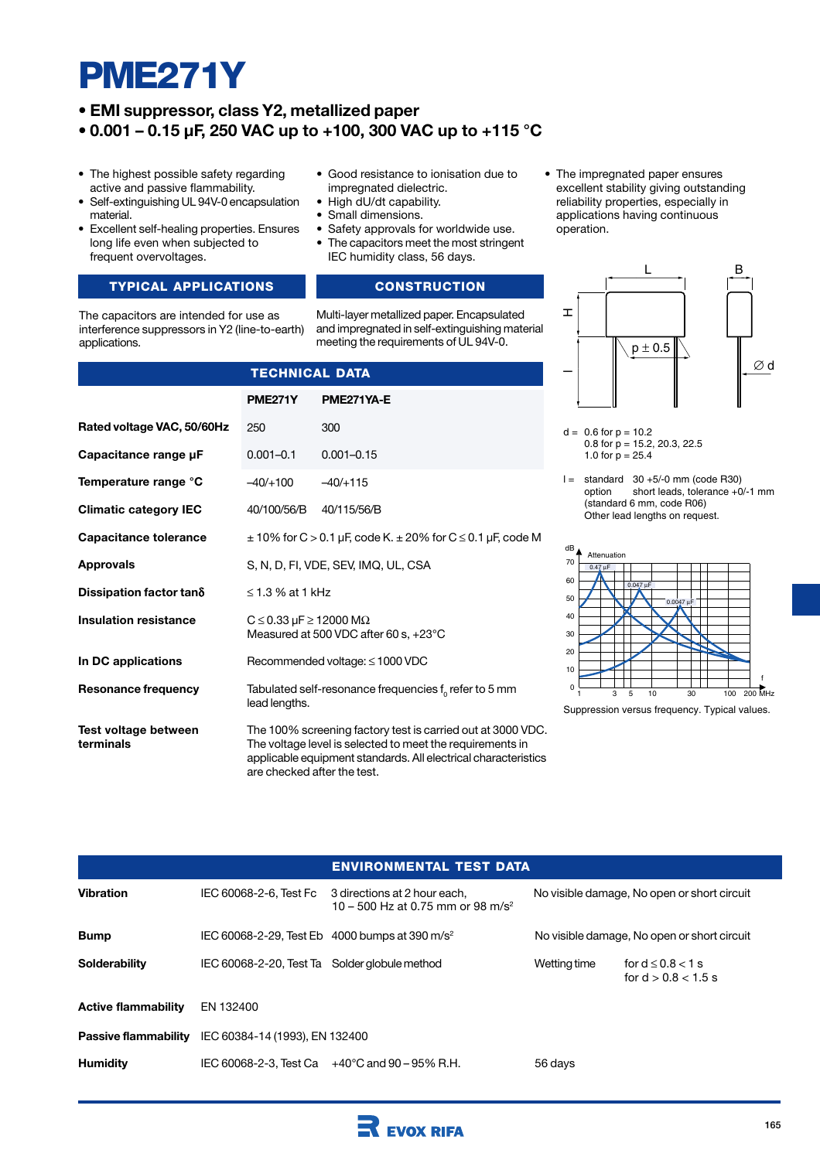# **PME271Y**

# **• EMI suppressor, class Y2, metallized paper**

**• 0.001 – 0.15 µF, 250 VAC up to +100, 300 VAC up to +115 °C**

**PME271Y PME271YA-E**

**TECHNICAL DATA**

0.001–0.1 0.001–0.15  $-40/+100$   $-40/+115$ 

40/100/56/B 40/115/56/B

S, N, D, FI, VDE, SEV, IMQ, UL, CSA

Measured at 500 VDC after 60 s, +23°C

Recommended voltage: ≤ 1000 VDC

250 300

≤ 1.3 % at 1 kHz

lead lengths.

 $C \le 0.33 \mu$ F  $\ge 12000 \text{ M}\Omega$ 

are checked after the test.

- The highest possible safety regarding active and passive flammability.
- Self-extinguishing UL 94V-0 encapsulation material.
- Excellent self-healing properties. Ensures long life even when subjected to frequent overvoltages.

# **TYPICAL APPLICATIONS CONSTRUCTION**

The capacitors are intended for use as interference suppressors in Y2 (line-to-earth) applications.

**Rated voltage VAC, 50/60Hz**

**Capacitance range µF**

**Temperature range °C Climatic category IEC Capacitance tolerance**

**Dissipation factor tan**δ **Insulation resistance**

**In DC applications**

**Resonance frequency**

**Test voltage between**

**terminals**

**Approvals**

- Good resistance to ionisation due to impregnated dielectric.
- High dU/dt capability.
- Small dimensions.
- Safety approvals for worldwide use.
- The capacitors meet the most stringent IEC humidity class, 56 days.

 $\pm$  10% for C > 0.1 µF, code K.  $\pm$  20% for C  $\leq$  0.1 µF, code M

Tabulated self-resonance frequencies  $f<sub>o</sub>$  refer to 5 mm

The 100% screening factory test is carried out at 3000 VDC. The voltage level is selected to meet the requirements in applicable equipment standards. All electrical characteristics

Multi-layer metallized paper. Encapsulated and impregnated in self-extinguishing material meeting the requirements of UL 94V-0.

• The impregnated paper ensures excellent stability giving outstanding reliability properties, especially in applications having continuous operation.



- $d = 0.6$  for  $p = 10.2$ 0.8 for  $p = 15.2, 20.3, 22.5$ 1.0 for  $p = 25.4$
- $l =$  standard  $30 + 5/0$  mm (code R30)<br>option short leads, tolerance +0 short leads, tolerance  $+0/1$  mm (standard 6 mm, code R06) Other lead lengths on request.



Suppression versus frequency. Typical values.

|                            |                                                            | <b>ENVIRONMENTAL TEST DATA</b>                                                |                                             |                                                 |  |  |  |
|----------------------------|------------------------------------------------------------|-------------------------------------------------------------------------------|---------------------------------------------|-------------------------------------------------|--|--|--|
| <b>Vibration</b>           | IEC 60068-2-6, Test Fc                                     | 3 directions at 2 hour each,<br>10 – 500 Hz at 0.75 mm or 98 m/s <sup>2</sup> | No visible damage, No open or short circuit |                                                 |  |  |  |
| <b>Bump</b>                | IEC 60068-2-29, Test Eb 4000 bumps at 390 m/s <sup>2</sup> |                                                                               | No visible damage, No open or short circuit |                                                 |  |  |  |
| <b>Solderability</b>       | IEC 60068-2-20, Test Ta Solder globule method              |                                                                               | Wetting time                                | for $d \leq 0.8 < 1$ s<br>for $d > 0.8 < 1.5$ s |  |  |  |
| <b>Active flammability</b> | EN 132400                                                  |                                                                               |                                             |                                                 |  |  |  |
|                            | <b>Passive flammability</b> IEC 60384-14 (1993), EN 132400 |                                                                               |                                             |                                                 |  |  |  |
| <b>Humidity</b>            |                                                            | IEC 60068-2-3, Test Ca $+40^{\circ}$ C and 90 – 95% R.H.                      | 56 days                                     |                                                 |  |  |  |

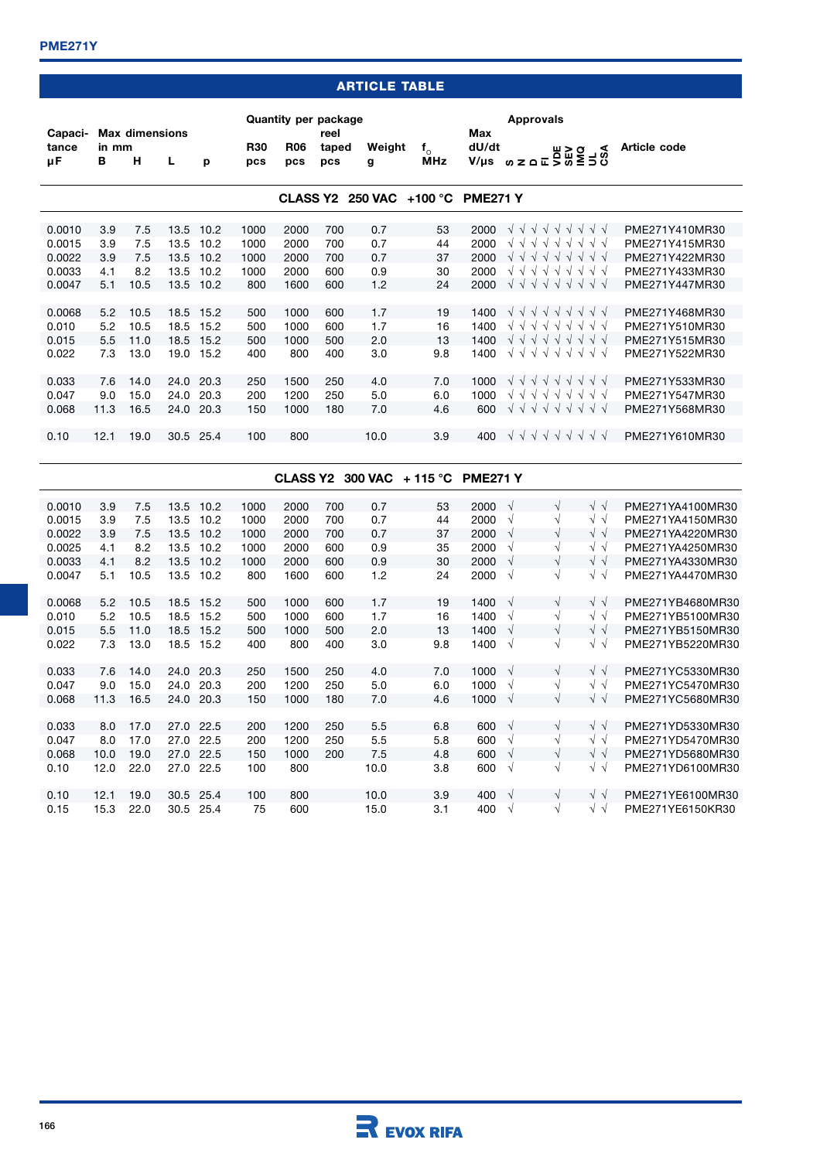# **ARTICLE TABLE**

| Capaci-     |            | <b>Max dimensions</b> |      |           |                   | <b>Quantity per package</b> | reel         |                |                            | Max                | <b>Approvals</b>                                                                                                                 |                |  |
|-------------|------------|-----------------------|------|-----------|-------------------|-----------------------------|--------------|----------------|----------------------------|--------------------|----------------------------------------------------------------------------------------------------------------------------------|----------------|--|
| tance<br>μF | in mm<br>В | н                     | L    | р         | <b>R30</b><br>pcs | <b>R06</b><br>pcs           | taped<br>pcs | Weight<br>g    | $f_{\alpha}$<br><b>MHz</b> | dU/dt<br>$V/\mu s$ | ⋖<br>$82.84$ $82.84$ $82.84$ $82.84$ $82.84$                                                                                     | Article code   |  |
|             |            |                       |      |           |                   | <b>CLASS Y2</b>             |              | <b>250 VAC</b> | $+100 °C$                  | <b>PME271 Y</b>    |                                                                                                                                  |                |  |
|             |            |                       |      |           |                   |                             |              |                |                            |                    |                                                                                                                                  |                |  |
| 0.0010      | 3.9        | 7.5                   | 13.5 | 10.2      | 1000              | 2000                        | 700          | 0.7            | 53                         | 2000               | VVVVV<br>$\sqrt{ }$<br>V V<br>$\sqrt{ }$                                                                                         | PME271Y410MR30 |  |
| 0.0015      | 3.9        | 7.5                   | 13.5 | 10.2      | 1000              | 2000                        | 700          | 0.7            | 44                         | 2000               | $\sqrt{ }$<br>VVV<br>$\sqrt{ }$<br>$\sqrt{ }$<br>$\sqrt{ }$<br>VV<br>$\sqrt{11}$<br>$\sqrt{ }$<br>$\sqrt{\sqrt{}}$<br>$\sqrt{ }$ | PME271Y415MR30 |  |
| 0.0022      | 3.9        | 7.5                   | 13.5 | 10.2      | 1000              | 2000                        | 700          | 0.7            | 37                         | 2000               | $\sqrt{ }$<br>$\sqrt{ }$                                                                                                         | PME271Y422MR30 |  |
| 0.0033      | 4.1        | 8.2                   | 13.5 | 10.2      | 1000              | 2000                        | 600          | 0.9            | 30                         | 2000               | $\sqrt{ }$<br>$\sqrt{ }$<br>$\sqrt{ }$<br>V V<br>$\sqrt{ }$<br>$\sqrt{ }$<br>$\sqrt{ }$<br>V                                     | PME271Y433MR30 |  |
| 0.0047      | 5.1        | 10.5                  | 13.5 | 10.2      | 800               | 1600                        | 600          | 1.2            | 24                         | 2000               | V V V V V V V V V                                                                                                                | PME271Y447MR30 |  |
| 0.0068      | 5.2        | 10.5                  | 18.5 | 15.2      | 500               | 1000                        | 600          | 1.7            | 19                         | 1400               | V V V V V V V V                                                                                                                  | PME271Y468MR30 |  |
| 0.010       | 5.2        | 10.5                  | 18.5 | 15.2      | 500               | 1000                        | 600          | 1.7            | 16                         | 1400               | V V V V V V V<br>$\sqrt{ }$                                                                                                      | PME271Y510MR30 |  |
| 0.015       | 5.5        | 11.0                  | 18.5 | 15.2      | 500               | 1000                        | 500          | 2.0            | 13                         | 1400               | V V V V V V V V                                                                                                                  | PMF271Y515MR30 |  |
| 0.022       | 7.3        | 13.0                  | 19.0 | 15.2      | 400               | 800                         | 400          | 3.0            | 9.8                        | 1400               | V V V V V V V V                                                                                                                  | PME271Y522MR30 |  |
|             |            |                       |      |           |                   |                             |              |                |                            |                    |                                                                                                                                  |                |  |
| 0.033       | 7.6        | 14.0                  | 24.0 | 20.3      | 250               | 1500                        | 250          | 4.0            | 7.0                        | 1000               | V V V V V V V<br>$\sqrt{ }$                                                                                                      | PME271Y533MR30 |  |
| 0.047       | 9.0        | 15.0                  | 24.0 | 20.3      | 200               | 1200                        | 250          | 5.0            | 6.0                        | 1000               | マイリ<br>$\sqrt{ }$<br>$\sqrt{ }$<br>$\sqrt{\sqrt{}}$<br>$\sqrt{ }$<br>$\sqrt{ }$                                                  | PMF271Y547MR30 |  |
| 0.068       | 11.3       | 16.5                  | 24.0 | 20.3      | 150               | 1000                        | 180          | 7.0            | 4.6                        | 600                | V V V V V V V V                                                                                                                  | PME271Y568MR30 |  |
|             |            |                       |      |           |                   |                             |              |                |                            |                    |                                                                                                                                  |                |  |
| 0.10        | 12.1       | 19.0                  |      | 30.5 25.4 | 100               | 800                         |              | 10.0           | 3.9                        | 400                | V V V V V V V V                                                                                                                  | PME271Y610MR30 |  |
|             |            |                       |      |           |                   |                             |              |                |                            |                    |                                                                                                                                  |                |  |

|        |      |      |      |      |      | <b>CLASS Y2</b> |     | <b>300 VAC</b> | $+115\degree$ C | <b>PME271 Y</b> |            |           |            |                  |
|--------|------|------|------|------|------|-----------------|-----|----------------|-----------------|-----------------|------------|-----------|------------|------------------|
|        |      |      |      |      |      |                 |     |                |                 |                 |            |           |            |                  |
| 0.0010 | 3.9  | 7.5  | 13.5 | 10.2 | 1000 | 2000            | 700 | 0.7            | 53              | 2000            | $\sqrt{ }$ | V         | $\sqrt{}$  | PME271YA4100MR30 |
| 0.0015 | 3.9  | 7.5  | 13.5 | 10.2 | 1000 | 2000            | 700 | 0.7            | 44              | 2000            | V          | V         | Nν         | PME271YA4150MR30 |
| 0.0022 | 3.9  | 7.5  | 13.5 | 10.2 | 1000 | 2000            | 700 | 0.7            | 37              | 2000            | V          | V         | $\sqrt{}$  | PME271YA4220MR30 |
| 0.0025 | 4.1  | 8.2  | 13.5 | 10.2 | 1000 | 2000            | 600 | 0.9            | 35              | 2000            | V          | V         | Nν         | PME271YA4250MR30 |
| 0.0033 | 4.1  | 8.2  | 13.5 | 10.2 | 1000 | 2000            | 600 | 0.9            | 30              | 2000            | V          | V         | $\sqrt{}$  | PME271YA4330MR30 |
| 0.0047 | 5.1  | 10.5 | 13.5 | 10.2 | 800  | 1600            | 600 | 1.2            | 24              | 2000            | $\sqrt{ }$ | V         | $\sqrt{}$  | PME271YA4470MR30 |
| 0.0068 | 5.2  | 10.5 | 18.5 | 15.2 | 500  | 1000            | 600 | 1.7            | 19              | 1400            | $\sqrt{ }$ | V         | $\sqrt{}$  | PME271YB4680MR30 |
| 0.010  | 5.2  | 10.5 | 18.5 | 15.2 | 500  | 1000            | 600 | 1.7            | 16              | 1400            | V          | V         | Nν         | PME271YB5100MR30 |
| 0.015  | 5.5  | 11.0 | 18.5 | 15.2 | 500  | 1000            | 500 | 2.0            | 13              | 1400            | V          | V         | $\sqrt{}$  | PME271YB5150MR30 |
| 0.022  | 7.3  | 13.0 | 18.5 | 15.2 | 400  | 800             | 400 | 3.0            | 9.8             | 1400            | $\sqrt{ }$ | V         | $\sqrt{V}$ | PME271YB5220MR30 |
| 0.033  | 7.6  | 14.0 | 24.0 | 20.3 | 250  | 1500            | 250 | 4.0            | 7.0             | 1000            | $\sqrt{ }$ | V         | $\sqrt{}$  | PME271YC5330MR30 |
| 0.047  | 9.0  | 15.0 | 24.0 | 20.3 | 200  | 1200            | 250 | 5.0            | 6.0             | 1000            | V          | V         | $\sqrt{}$  | PME271YC5470MR30 |
| 0.068  | 11.3 | 16.5 | 24.0 | 20.3 | 150  | 1000            | 180 | 7.0            | 4.6             | 1000            | $\sqrt{ }$ | V         | $\sqrt{}$  | PME271YC5680MR30 |
|        |      |      |      |      |      |                 |     |                |                 |                 |            |           |            |                  |
| 0.033  | 8.0  | 17.0 | 27.0 | 22.5 | 200  | 1200            | 250 | 5.5            | 6.8             | 600             | $\sqrt{ }$ | V         | $\sqrt{}$  | PME271YD5330MR30 |
| 0.047  | 8.0  | 17.0 | 27.0 | 22.5 | 200  | 1200            | 250 | 5.5            | 5.8             | 600             | $\sqrt{ }$ | V         | Nν         | PME271YD5470MR30 |
| 0.068  | 10.0 | 19.0 | 27.0 | 22.5 | 150  | 1000            | 200 | 7.5            | 4.8             | 600             | V          | $\sqrt{}$ | $\sqrt{}$  | PME271YD5680MR30 |
| 0.10   | 12.0 | 22.0 | 27.0 | 22.5 | 100  | 800             |     | 10.0           | 3.8             | 600             | $\sqrt{ }$ | V         | $\sqrt{}$  | PME271YD6100MR30 |
| 0.10   | 12.1 | 19.0 | 30.5 | 25.4 | 100  | 800             |     | 10.0           | 3.9             | 400             | $\sqrt{ }$ | V         | $\sqrt{}$  | PME271YE6100MR30 |
| 0.15   | 15.3 | 22.0 | 30.5 | 25.4 | 75   | 600             |     | 15.0           | 3.1             | 400             | $\sqrt{ }$ | V         | Nν         | PME271YE6150KR30 |